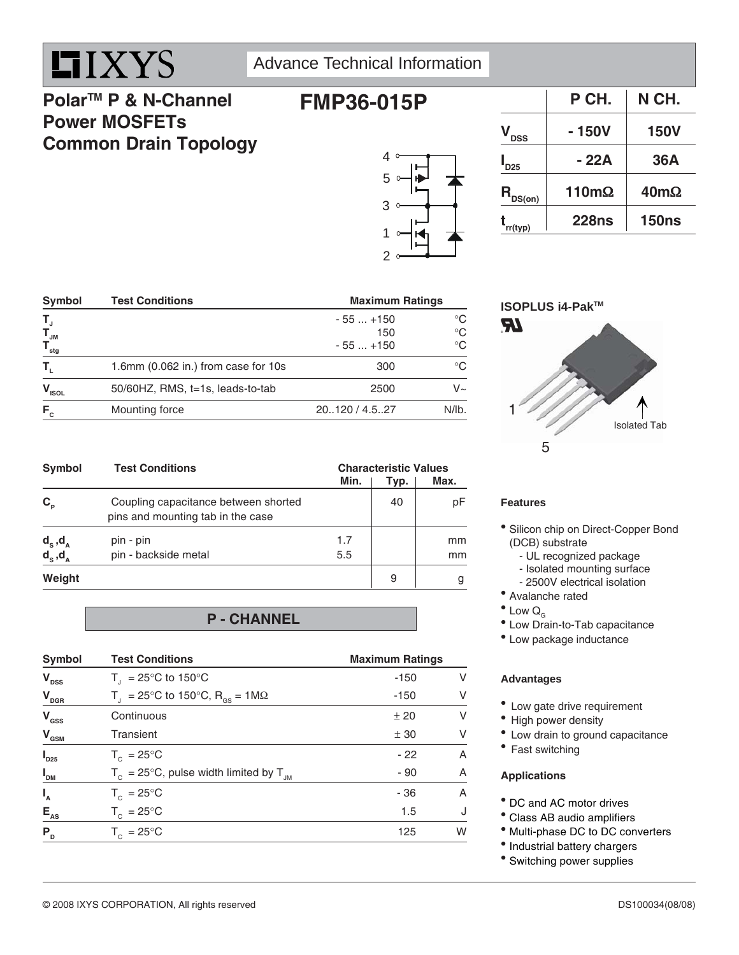

## Advance Technical Information

**FMP36-015P**

## **PolarTM P & N-Channel Power MOSFETs Common Drain Topology**



|                             | P CH.        | N CH.        |
|-----------------------------|--------------|--------------|
| V <sub>DSS</sub>            | $-150V$      | <b>150V</b>  |
| $\mathsf{I}_{\mathsf{D25}}$ | $-22A$       | 36A          |
| $R_{DS(on)}$                | $110m\Omega$ | $40m\Omega$  |
| rr(typ)                     | <b>228ns</b> | <b>150ns</b> |

| Symbol                    | <b>Test Conditions</b>                | <b>Maximum Ratings</b> |             |
|---------------------------|---------------------------------------|------------------------|-------------|
|                           |                                       | $-55+150$              | $^{\circ}C$ |
| $T_{J_M}$                 |                                       | 150                    | $^{\circ}C$ |
| $\mathsf{T}_{_{\sf stg}}$ |                                       | $-55+150$              | $^{\circ}C$ |
| Т,                        | 1.6mm $(0.062$ in.) from case for 10s | 300                    | $^{\circ}C$ |
| $V_{ISOL}$                | 50/60HZ, RMS, t=1s, leads-to-tab      | 2500                   | $V_{\sim}$  |
| $F_c$                     | Mounting force                        | 20120 / 4.527          | $N/lb$ .    |

| Symbol                                 | <b>Test Conditions</b>                                                    | Min.       | <b>Characteristic Values</b><br>Typ. | Max.     |
|----------------------------------------|---------------------------------------------------------------------------|------------|--------------------------------------|----------|
| $C_{p}$                                | Coupling capacitance between shorted<br>pins and mounting tab in the case |            | 40                                   | рF       |
| $d_{s}$ , $d_{A}$<br>$d_{s}$ , $d_{A}$ | pin - pin<br>pin - backside metal                                         | 1.7<br>5.5 |                                      | mm<br>mm |
| Weight                                 |                                                                           |            | 9                                    |          |

### **P - CHANNEL**

| Symbol                  | <b>Test Conditions</b>                                        | <b>Maximum Ratings</b> |                |
|-------------------------|---------------------------------------------------------------|------------------------|----------------|
| $V_{\text{DSS}}$        | $T_{\text{I}}$ = 25°C to 150°C                                | $-150$                 | V              |
| $V_{\text{DGR}}$        | $T_{\text{I}}$ = 25°C to 150°C, R <sub>os</sub> = 1M $\Omega$ | $-150$                 | V              |
| $V_{\text{GSS}}$        | Continuous                                                    | ± 20                   | $\vee$         |
| $V_{\text{\tiny{GSM}}}$ | Transient                                                     | ± 30                   | $\vee$         |
| $\boldsymbol{I}_{D25}$  | $T_c = 25^{\circ}$ C                                          | $-22$                  | A              |
| $I_{DM}$                | $T_c = 25^{\circ}$ C, pulse width limited by $T_{JM}$         | $-90$                  | $\overline{A}$ |
| $I_{A}$                 | $T_c = 25^{\circ}$ C                                          | $-36$                  | A              |
| $E_{AS}$                | $T_c = 25^{\circ}C$                                           | 1.5                    | J              |
| P <sub>D</sub>          | $T_c = 25^{\circ}C$                                           | 125                    | W              |
|                         |                                                               |                        |                |

### **ISOPLUS i4-PakTM**



### **Features**

- <sup>•</sup> Silicon chip on Direct-Copper Bond (DCB) substrate
	- UL recognized package
	- Isolated mounting surface
	- 2500V electrical isolation
- Avalanche rated
- $\bullet$  Low  $Q_{G}$
- Low Drain-to-Tab capacitance
- Low package inductance

### **Advantages**

- Low gate drive requirement
- High power density
- Low drain to ground capacitance
- Fast switching

### **Applications**

- DC and AC motor drives
- Class AB audio amplifiers
- $^{\circ}$  Multi-phase DC to DC converters
- Industrial battery chargers
- Switching power supplies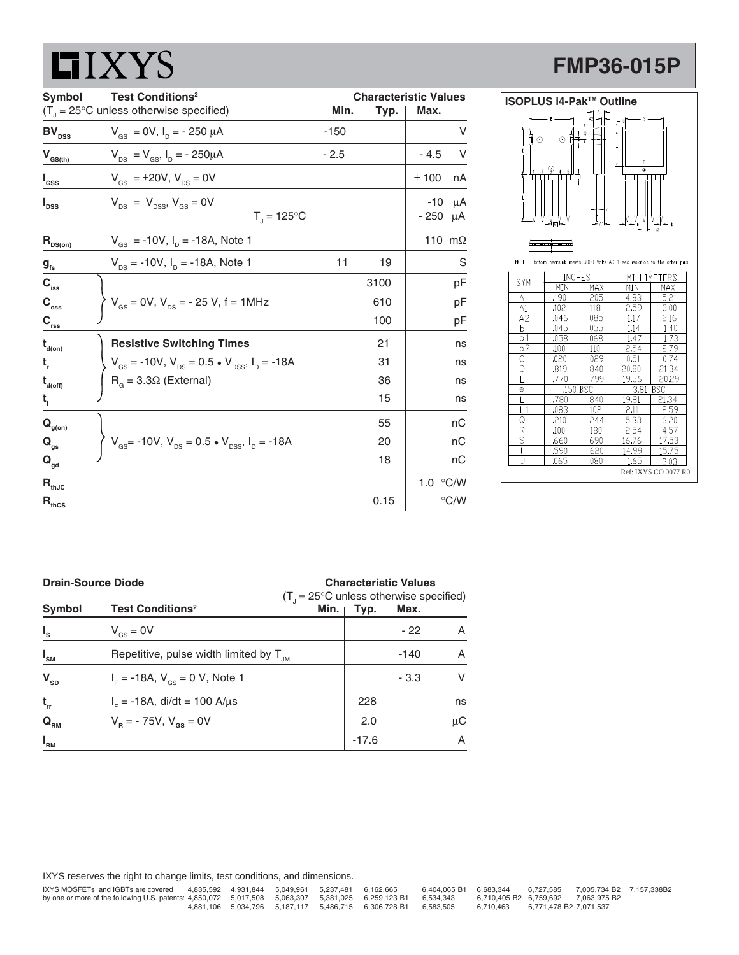# **LIXYS**

# **FMP36-015P**

| Symbol                                 | <b>Test Conditions<sup>2</sup></b><br><b>Characteristic Values</b>                          |        |      |                           |
|----------------------------------------|---------------------------------------------------------------------------------------------|--------|------|---------------------------|
|                                        | $(T_{j} = 25^{\circ}C$ unless otherwise specified)                                          | Min.   | Typ. | Max.                      |
| $\texttt{BV}_{\texttt{DSS}}$           | $V_{\text{gs}} = 0V$ , $I_{\text{p}} = -250 \mu A$                                          | $-150$ |      | V                         |
| $\mathbf{V}_{\text{GS(th)}}$           | $V_{DS} = V_{GS}$ , $I_D = -250 \mu A$                                                      | $-2.5$ |      | $-4.5$<br>V               |
| $I_{\rm dss}$                          | $V_{\text{gs}} = \pm 20V, V_{\text{ps}} = 0V$                                               |        |      | ± 100<br>nA               |
| $I_{\texttt{DSS}}$                     | $V_{\text{ns}} = V_{\text{nss}}$ , $V_{\text{gs}} = 0V$<br>$T_{\rm j} = 125^{\circ}C$       |        |      | -10<br>μA<br>$-250 \mu A$ |
| $R_{DS(on)}$                           | $V_{GS}$ = -10V, $I_D$ = -18A, Note 1                                                       |        |      | 110 m $\Omega$            |
| $g_{\rm fs}$                           | $V_{DS}$ = -10V, $I_D$ = -18A, Note 1                                                       | 11     | 19   | S                         |
| $C_{\rm iss}$                          |                                                                                             |        | 3100 | рF                        |
| $C_{\rm oss}$                          | $V_{\text{gs}} = 0V, V_{\text{DS}} = -25 V, f = 1 MHz$                                      |        | 610  | рF                        |
| $C_{rss}$                              |                                                                                             |        | 100  | рF                        |
| $\mathbf{t}_{\mathsf{d}(\mathsf{on})}$ | <b>Resistive Switching Times</b>                                                            |        | 21   | ns                        |
| t,                                     | $V_{\text{gs}} = -10V$ , $V_{\text{ps}} = 0.5 \cdot V_{\text{pss}}$ , $I_{\text{p}} = -18A$ |        | 31   | ns                        |
| $t_{\text{\tiny d(off)}}$              | $RG$ = 3.3 $\Omega$ (External)                                                              |        | 36   | ns                        |
| t,                                     |                                                                                             |        | 15   | ns                        |
| $\mathbf{Q}_{\text{g(on)}}$            |                                                                                             |        | 55   | nС                        |
| $Q_{gs}$                               | $V_{\text{gs}}$ = -10V, $V_{\text{DS}}$ = 0.5 • $V_{\text{DSS}}$ , $I_{\text{D}}$ = -18A    |        | 20   | nС                        |
| $\mathbf{Q}_{\mathsf{gd}}$             |                                                                                             |        | 18   | nС                        |
| $\mathbf{R}_{\text{thJC}}$             |                                                                                             |        |      | 1.0 °C/W                  |
| $R_{\text{thCS}}$                      |                                                                                             |        | 0.15 | $\degree$ C/W             |

|        | ISOPLUS i4-Pak™ Outline      |            |                              |                                                                       |  |  |
|--------|------------------------------|------------|------------------------------|-----------------------------------------------------------------------|--|--|
| ⊙<br>D | E<br>⊙ ⊫ิ<br>횫<br>। । ।<br>। | Q<br>I A1l | S<br>6<br>$\overline{\odot}$ | b2                                                                    |  |  |
| NOTE:  |                              |            |                              | Bottom heatsink meets 3000 Volts AC 1 sec isolation to the other pins |  |  |
| SYM    | <b>INCHES</b>                |            | MTI I                        | .IMETERS                                                              |  |  |
|        | MIN                          | MAX        | MIN                          | MAX                                                                   |  |  |
| Α      | .190                         | .205       | 4.83                         | 5.21                                                                  |  |  |
| A1     | .102                         | .118       | 2.59                         | 3.00                                                                  |  |  |
| A2     | .046                         | .085       | 1.17                         | 2.16                                                                  |  |  |
| b      | .045                         | .055       | 1.14                         | 1.40                                                                  |  |  |
|        |                              |            |                              |                                                                       |  |  |

| $\cdots$             |          |      |                    |       |  |  |
|----------------------|----------|------|--------------------|-------|--|--|
| A2                   | .046     | .085 | 1.17               | 2.16  |  |  |
| b                    | .045     | .055 | 1.14               | 1.40  |  |  |
| b1                   | .058     | .068 | 1.47               | 1.73  |  |  |
| $b\overline{2}$      | .100     | .110 | 2.54               | 2.79  |  |  |
| С                    | 020      | .029 | 0.51               | 0.74  |  |  |
| D                    | .819     | .840 | 20.80              | 21.34 |  |  |
| Ē                    | .770     | .799 | 19.56              | 20.29 |  |  |
| e                    | .150 BSC |      | 3.81<br><b>BSC</b> |       |  |  |
|                      | .780     | .840 | 19.81              | 21.34 |  |  |
| L1                   | .083     | .102 | 2.11               | 2.59  |  |  |
| Q                    | .210     | .244 | 5.33               | 6.20  |  |  |
| R                    | .100     | .180 | 2.54               | 4.57  |  |  |
| s                    | .660     | .690 | 16.76              | 17.53 |  |  |
|                      | .590     | .620 | 14.99              | 15.75 |  |  |
| U                    | .065     | .080 | 1.65               | 2.03  |  |  |
| Ref: IXYS CO 0077 R0 |          |      |                    |       |  |  |

| <b>Drain-Source Diode</b> |                                                                                                    | <b>Characteristic Values</b> |        |         |  |
|---------------------------|----------------------------------------------------------------------------------------------------|------------------------------|--------|---------|--|
| Symbol                    | $(T_{1} = 25^{\circ}C$ unless otherwise specified)<br><b>Test Conditions<sup>2</sup></b><br>Min. ৷ | Typ.                         | Max.   |         |  |
| $I_{s}$                   | $V_{\text{gs}} = 0V$                                                                               |                              | $-22$  | A       |  |
| $I_{\text{SM}}$           | Repetitive, pulse width limited by $T_{\text{JM}}$                                                 |                              | $-140$ | A       |  |
| $V_{SD}$                  | $I_{F} = -18A$ , $V_{gs} = 0 V$ , Note 1                                                           |                              | $-3.3$ | V       |  |
| $t_{rr}$                  | $IF = -18A$ , di/dt = 100 A/ $\mu$ s                                                               | 228                          |        | ns      |  |
| $Q_{RM}$                  | $V_p = -75V$ , $V_{qs} = 0V$                                                                       | 2.0                          |        | $\mu$ C |  |
| $I_{\rm RM}$              |                                                                                                    | $-17.6$                      |        | A       |  |

IXYS reserves the right to change limits, test conditions, and dimensions.

| IXYS MOSFETs and IGBTs are covered                                                                           | 4.835.592  4.931.844  5.049.961  5.237.481  6.162.665 |  |                                                                      | 6.404.065 B1 6.683.344 |           |                        | 6.727.585 7.005.734 B2 7.157.338B2  |  |
|--------------------------------------------------------------------------------------------------------------|-------------------------------------------------------|--|----------------------------------------------------------------------|------------------------|-----------|------------------------|-------------------------------------|--|
| by one or more of the following U.S. patents: 4,850,072 5,017,508 5,063,307 5,381,025 6,259,123 B1 6,534,343 |                                                       |  |                                                                      |                        |           |                        | 6.710.405 B2 6.759.692 7.063.975 B2 |  |
|                                                                                                              |                                                       |  | 4.881.106  5.034.796  5.187.117  5.486.715  6.306.728  B1  6.583.505 |                        | 6.710.463 | 6.771.478 B2 7.071.537 |                                     |  |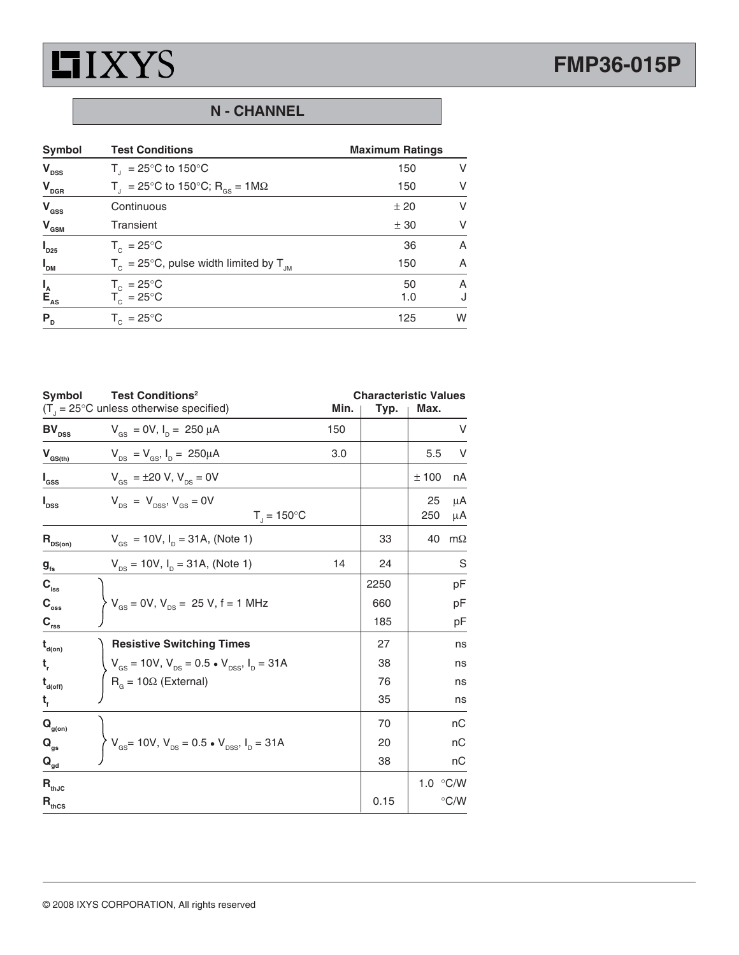

# **FMP36-015P**

## **N - CHANNEL**

| Symbol                          | <b>Test Conditions</b>                                     | <b>Maximum Ratings</b> |        |
|---------------------------------|------------------------------------------------------------|------------------------|--------|
| $V_{\text{DSS}}$                | $T_{\text{I}}$ = 25°C to 150°C                             | 150                    | V      |
| $V_{DGR}$                       | $T_{\rm d}$ = 25°C to 150°C; R <sub>GS</sub> = 1M $\Omega$ | 150                    | $\vee$ |
| $V_{\text{GSS}}$                | Continuous                                                 | ± 20                   | $\vee$ |
| $V_{\text{GSM}}$                | Transient                                                  | ± 30                   | V      |
| $\boldsymbol{I}_{D25}$          | $T_c = 25^{\circ}$ C                                       | 36                     | A      |
| $I_{DM}$                        | $T_c = 25^{\circ}$ C, pulse width limited by $T_{JM}$      | 150                    | A      |
|                                 | $T_c = 25^{\circ}C$                                        | 50                     | A      |
| $I_{\sub{A}}$<br>$E_{\sub{AS}}$ | $T_c = 25^{\circ}C$                                        | 1.0                    | J      |
| $P_{D}$                         | $T_c = 25^{\circ}C$                                        | 125                    | W      |

| <b>Symbol</b>                          | <b>Test Conditions<sup>2</sup></b><br>$(T_{\text{d}} = 25^{\circ}C$ unless otherwise specified)      | Min. | <b>Characteristic Values</b><br>Typ. | Max.              |               |
|----------------------------------------|------------------------------------------------------------------------------------------------------|------|--------------------------------------|-------------------|---------------|
| $\texttt{BV}_{\texttt{DSS}}$           | $V_{GS}$ = 0V, $I_{D}$ = 250 $\mu$ A                                                                 | 150  |                                      |                   | V             |
| $V_{GS(th)}$                           | $V_{DS} = V_{GS}$ , $I_D = 250 \mu A$                                                                | 3.0  |                                      | 5.5               | V             |
| $I_{\rm dss}$                          | $V_{\text{gs}} = \pm 20 \text{ V}, V_{\text{ps}} = 0 \text{ V}$                                      |      |                                      | ±100              | nA            |
| $I_{\text{DSS}}$                       | $V_{DS}$ = $V_{DSS}$ , $V_{GS}$ = 0V<br>$T_1 = 150^{\circ}C$                                         |      |                                      | 25<br>250         | μA<br>μA      |
| $R_{DS(on)}$                           | $V_{\text{gs}} = 10V$ , $I_{\text{p}} = 31A$ , (Note 1)                                              |      | 33                                   | 40                | $m\Omega$     |
| g <sub>fs</sub>                        | $V_{DS}$ = 10V, $I_D$ = 31A, (Note 1)                                                                | 14   | 24                                   |                   | S             |
| $\mathbf{C}_{_{\mathsf{iss}}}$         |                                                                                                      |      | 2250                                 |                   | рF            |
| $\mathbf{C}_{_{\mathrm{oss}}}$         | $V_{\text{gs}} = 0V, V_{\text{ps}} = 25 V, f = 1 MHz$                                                |      | 660                                  |                   | рF            |
| $C_{rss}$                              |                                                                                                      |      | 185                                  |                   | рF            |
| $t_{\text{\tiny d(0n)}}$               | <b>Resistive Switching Times</b>                                                                     |      | 27                                   |                   | ns            |
| t,                                     | $V_{\text{gs}} = 10V$ , $V_{\text{DS}} = 0.5 \cdot V_{\text{DSS}}$ , $I_{\text{D}} = 31A$            |      | 38                                   |                   | ns            |
| $t_{\text{\tiny d(off)}}$              | $R_{G} = 10\Omega$ (External)                                                                        |      | 76                                   |                   | ns            |
| $t_{f}$                                |                                                                                                      |      | 35                                   |                   | ns            |
| $\mathbf{Q}_{\text{g(on)}}$            |                                                                                                      |      | 70                                   |                   | nС            |
| $\mathbf{Q}_{\text{gs}}$               | $\left\{ V_{\text{gs}} = 10V, V_{\text{ps}} = 0.5 \cdot V_{\text{pss}}, I_{\text{p}} = 31A \right\}$ |      | 20                                   |                   | nС            |
| $\mathbf{Q}_{\underline{\mathrm{gd}}}$ |                                                                                                      |      | 38                                   |                   | nС            |
| $\mathsf{R}_{\textsf{thJC}}$           |                                                                                                      |      |                                      | 1.0 $\degree$ C/W |               |
| $\mathsf{R}_{\text{thcs}}$             |                                                                                                      |      | 0.15                                 |                   | $\degree$ C/W |